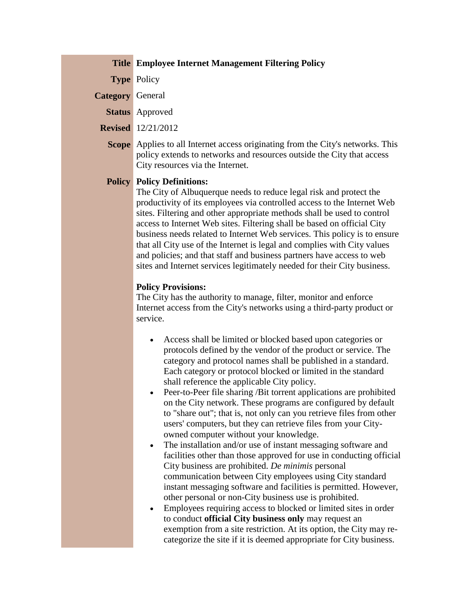## **Title Employee Internet Management Filtering Policy**

**Type** Policy

**Category** General

**Status** Approved

**Revised** 12/21/2012

**Scope** Applies to all Internet access originating from the City's networks. This policy extends to networks and resources outside the City that access City resources via the Internet.

## **Policy Policy Definitions:**

The City of Albuquerque needs to reduce legal risk and protect the productivity of its employees via controlled access to the Internet Web sites. Filtering and other appropriate methods shall be used to control access to Internet Web sites. Filtering shall be based on official City business needs related to Internet Web services. This policy is to ensure that all City use of the Internet is legal and complies with City values and policies; and that staff and business partners have access to web sites and Internet services legitimately needed for their City business.

## **Policy Provisions:**

The City has the authority to manage, filter, monitor and enforce Internet access from the City's networks using a third-party product or service.

- Access shall be limited or blocked based upon categories or protocols defined by the vendor of the product or service. The category and protocol names shall be published in a standard. Each category or protocol blocked or limited in the standard shall reference the applicable City policy.
- Peer-to-Peer file sharing /Bit torrent applications are prohibited on the City network. These programs are configured by default to "share out"; that is, not only can you retrieve files from other users' computers, but they can retrieve files from your Cityowned computer without your knowledge.
- The installation and/or use of instant messaging software and facilities other than those approved for use in conducting official City business are prohibited. *De minimis* personal communication between City employees using City standard instant messaging software and facilities is permitted. However, other personal or non-City business use is prohibited.
- Employees requiring access to blocked or limited sites in order to conduct **official City business only** may request an exemption from a site restriction. At its option, the City may recategorize the site if it is deemed appropriate for City business.